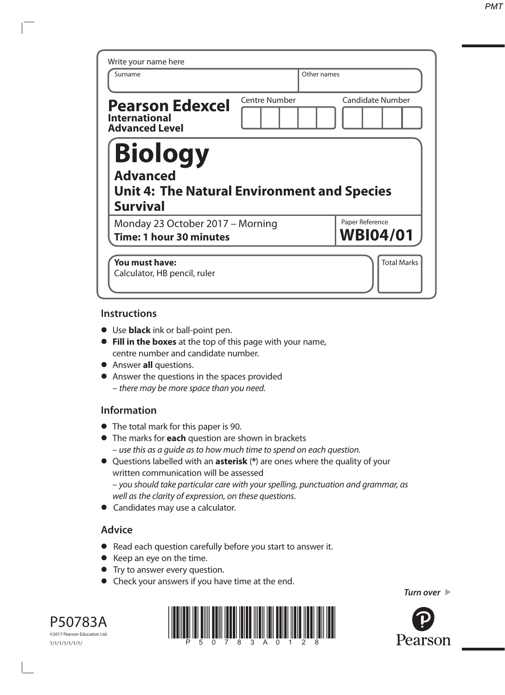| Write your name here                                                                                       |                      |             |                         |
|------------------------------------------------------------------------------------------------------------|----------------------|-------------|-------------------------|
| Surname                                                                                                    |                      | Other names |                         |
| <b>Pearson Edexcel</b><br><b>International</b><br><b>Advanced Level</b>                                    | <b>Centre Number</b> |             | <b>Candidate Number</b> |
| <b>Biology</b><br><b>Advanced</b><br><b>Unit 4: The Natural Environment and Species</b><br><b>Survival</b> |                      |             |                         |
| Monday 23 October 2017 - Morning                                                                           |                      |             | Paper Reference         |
| Time: 1 hour 30 minutes                                                                                    |                      |             | <b>WBI04/01</b>         |
| <b>You must have:</b><br>Calculator, HB pencil, ruler                                                      |                      |             | <b>Total Marks</b>      |

#### **Instructions**

- **•** Use **black** ink or ball-point pen.
- **• Fill in the boxes** at the top of this page with your name, centre number and candidate number.
- **•** Answer **all** questions.
- **•** Answer the questions in the spaces provided – *there may be more space than you need*.

## **Information**

- **•** The total mark for this paper is 90.
- **•** The marks for **each** question are shown in brackets *– use this as a guide as to how much time to spend on each question.*
- **•** Questions labelled with an **asterisk** (**\***) are ones where the quality of your written communication will be assessed *– you should take particular care with your spelling, punctuation and grammar, as*
- *well as the clarity of expression, on these questions*.
- **•** Candidates may use a calculator.

## **Advice**

- **•** Read each question carefully before you start to answer it.
- **•** Keep an eye on the time.
- **•** Try to answer every question.
- **•** Check your answers if you have time at the end.







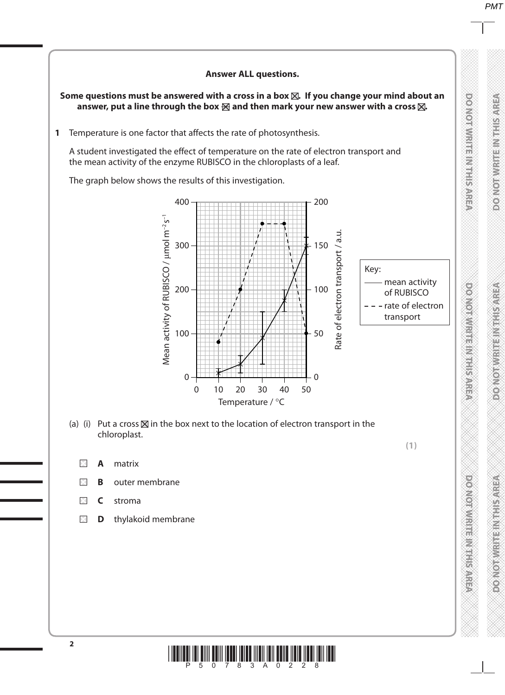# **Answer ALL questions.**

#### **Some questions must be answered with a cross in a box . If you change your mind about an**  answer, put a line through the box  $\mathbb{\overline{X}}$  and then mark your new answer with a cross  $\mathbb{X}$ .

**1** Temperature is one factor that affects the rate of photosynthesis.

A student investigated the effect of temperature on the rate of electron transport and the mean activity of the enzyme RUBISCO in the chloroplasts of a leaf.

The graph below shows the results of this investigation.



- (a) (i) Put a cross  $\boxtimes$  in the box next to the location of electron transport in the chloroplast.
	- **A** matrix
	- **B** outer membrane
	- **C** stroma
	-

**(1)**

**DO NOT WRITE IN THIS AREA**

**DO NOT WRITE IN THIS AREA** 

**DO NOTWRITEINTHS AREA** 

**DOO NORWAY DE MARIS AREA** 

*PMT*

**DO NOT WRITE IN THIS AREA**

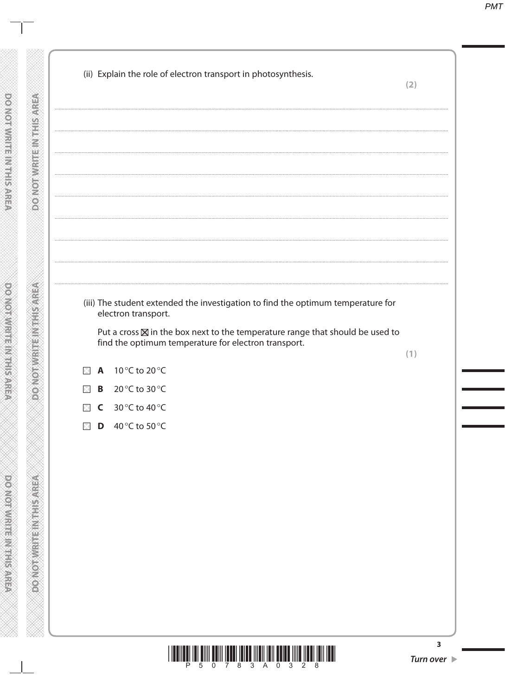$\overline{a}$ 

|          | (ii) Explain the role of electron transport in photosynthesis.                                          | (2) |
|----------|---------------------------------------------------------------------------------------------------------|-----|
|          |                                                                                                         |     |
|          |                                                                                                         |     |
|          |                                                                                                         |     |
|          |                                                                                                         |     |
|          |                                                                                                         |     |
|          |                                                                                                         |     |
|          |                                                                                                         |     |
|          |                                                                                                         |     |
|          |                                                                                                         |     |
|          | (iii) The student extended the investigation to find the optimum temperature for<br>electron transport. |     |
|          | Put a cross $\boxtimes$ in the box next to the temperature range that should be used to                 |     |
|          | find the optimum temperature for electron transport.                                                    | (1) |
|          | A $10^{\circ}$ C to 20 $^{\circ}$ C                                                                     |     |
|          | <b>B</b> 20 $\degree$ C to 30 $\degree$ C                                                               |     |
| X        | 30 °C to 40 °C<br>C                                                                                     |     |
| $\times$ | 40 °C to 50 °C<br>D                                                                                     |     |
|          |                                                                                                         |     |
|          |                                                                                                         |     |
|          |                                                                                                         |     |
|          |                                                                                                         |     |
|          |                                                                                                         |     |
|          |                                                                                                         |     |
|          |                                                                                                         |     |
|          |                                                                                                         |     |
|          |                                                                                                         |     |
|          |                                                                                                         |     |

 $\overline{\phantom{a}}$ 

DONOTWRITEINTHIS AREA

DOMOTIVIRITIEM/STATSAREA

**DOWNTON CONTRACTORS**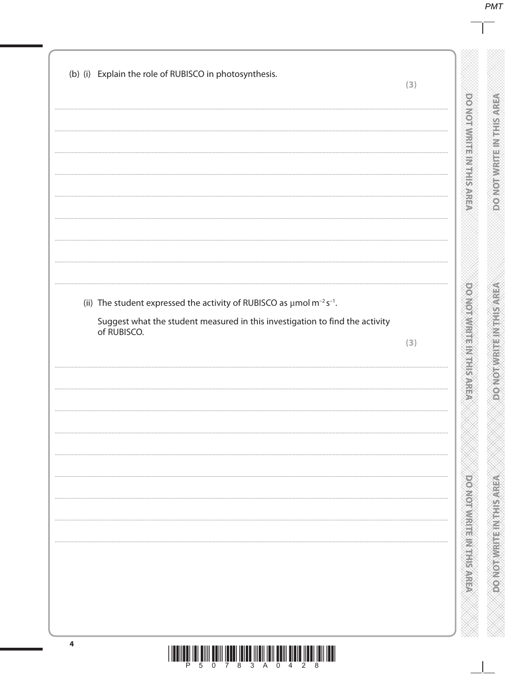| (b) (i) Explain the role of RUBISCO in photosynthesis.                                                                                                                                           | (3) |                             | SAREA             |
|--------------------------------------------------------------------------------------------------------------------------------------------------------------------------------------------------|-----|-----------------------------|-------------------|
|                                                                                                                                                                                                  |     | <b>DONORWITH MITHS ARE:</b> | <b>ANOTAMENTE</b> |
| (ii) The student expressed the activity of RUBISCO as $\mu$ mol m <sup>-2</sup> s <sup>-1</sup> .<br>Suggest what the student measured in this investigation to find the activity<br>of RUBISCO. | (3) |                             |                   |
|                                                                                                                                                                                                  |     | ៍                           |                   |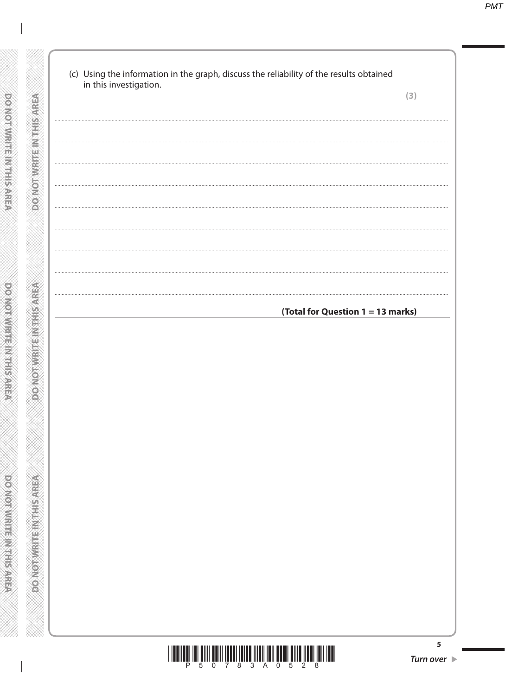| (3)                               |
|-----------------------------------|
|                                   |
|                                   |
|                                   |
|                                   |
|                                   |
|                                   |
|                                   |
|                                   |
|                                   |
|                                   |
|                                   |
| (Total for Question 1 = 13 marks) |
|                                   |
|                                   |
|                                   |
|                                   |
|                                   |
|                                   |
|                                   |
|                                   |
|                                   |
|                                   |
|                                   |
|                                   |
|                                   |
|                                   |
|                                   |
|                                   |
|                                   |
|                                   |

**XXXX** 

DO NOT WRITE INTHIS AREA

DOOMOTHER MEETING AREA

**DOMOTIVE INTERNATIONAL**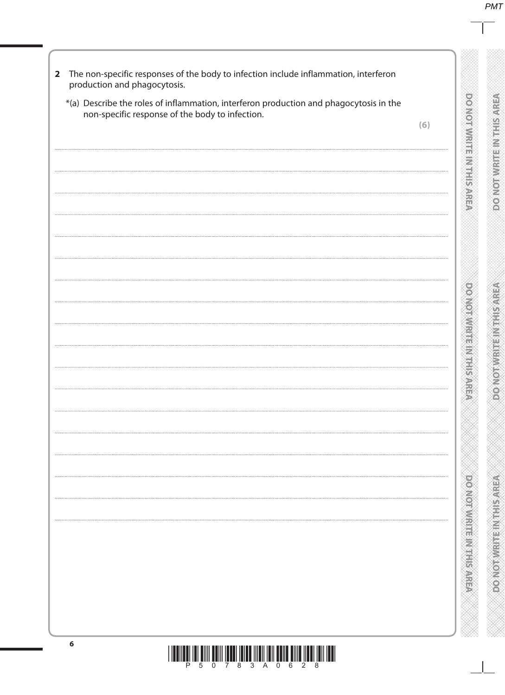| *(a) Describe the roles of inflammation, interferon production and phagocytosis in the<br>non-specific response of the body to infection.<br>(6) | <b>ONOrwhere Hall Hotel</b>                    | <b>DONOTHER</b> |
|--------------------------------------------------------------------------------------------------------------------------------------------------|------------------------------------------------|-----------------|
|                                                                                                                                                  | Ð<br>Ū.                                        |                 |
|                                                                                                                                                  | E<br>S<br><b>RANCE</b><br>$\frac{1}{\sqrt{2}}$ |                 |

<u>Linnin bi mi êmi êmi hem în mi ami îmi îni êmi êmi în n îmi mu.</u>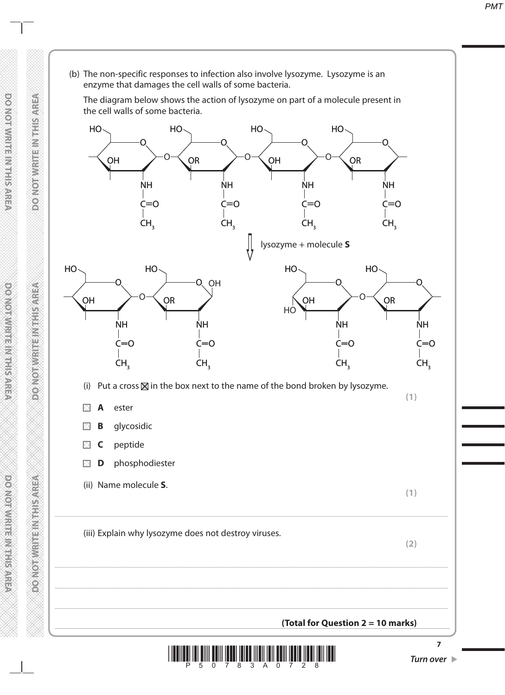(b) The non-specific responses to infection also involve lysozyme. Lysozyme is an enzyme that damages the cell walls of some bacteria.

 The diagram below shows the action of lysozyme on part of a molecule present in the cell walls of some bacteria.





**DO NOTIVIALE NITHIS AREA** 

**DO NOT WRITE IN THIS AREA DO NOT WRITE IN THIS AREA DO NOT WRITE IN THIS AREA**

**DO NOT WRITE IN THIS AREA**

e primeri e l'arcolité de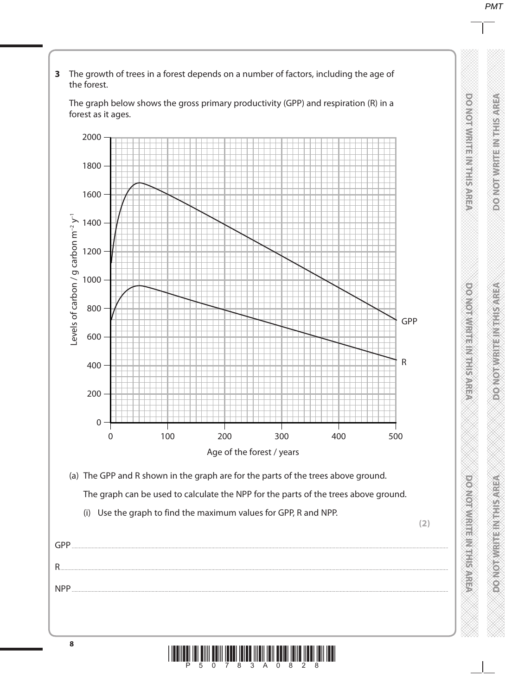**3** The growth of trees in a forest depends on a number of factors, including the age of the forest.

The graph below shows the gross primary productivity (GPP) and respiration (R) in a forest as it ages.





**DO NOT WRITE IN THIS AREA** 

**DO NOTWRITEINTHS AREA** 

**DONOINMRITE IN RELISARE** 

**DO NOT WRITE IN THIS AREA**

**DO NOT WRITE IN THIS AREA DO NOT WRITE IN THIS AREA DO NOT WRITE IN THIS AREA**

exemplar and the state of the state of the state of the state of the state of the state of the state of the st

DRAFT

**DO NOT WRITE IN THIS AREA**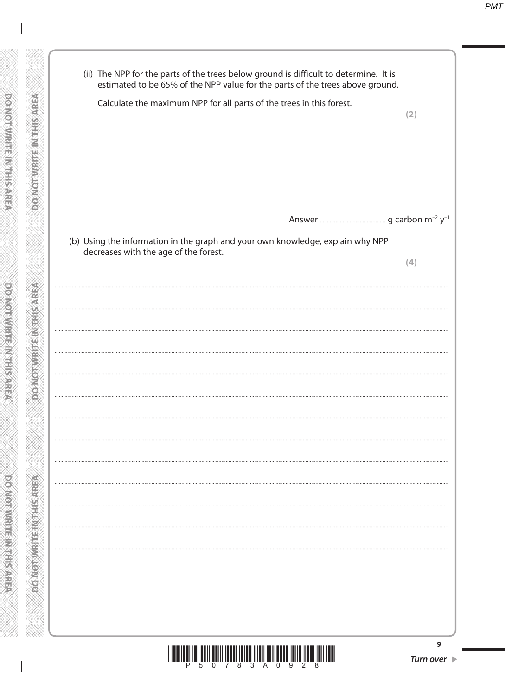|                                 | (ii) The NPP for the parts of the trees below ground is difficult to determine. It is<br>estimated to be 65% of the NPP value for the parts of the trees above ground. |                                      |
|---------------------------------|------------------------------------------------------------------------------------------------------------------------------------------------------------------------|--------------------------------------|
| <b>DO NOTAVITTE INTERPRETOR</b> | Calculate the maximum NPP for all parts of the trees in this forest.                                                                                                   | (2)                                  |
|                                 |                                                                                                                                                                        |                                      |
|                                 | (b) Using the information in the graph and your own knowledge, explain why NPP<br>decreases with the age of the forest.                                                |                                      |
|                                 |                                                                                                                                                                        | (4)                                  |
|                                 |                                                                                                                                                                        |                                      |
| <b>A STARSHARED MARKED</b>      |                                                                                                                                                                        |                                      |
|                                 |                                                                                                                                                                        |                                      |
|                                 |                                                                                                                                                                        |                                      |
|                                 |                                                                                                                                                                        |                                      |
|                                 |                                                                                                                                                                        |                                      |
|                                 |                                                                                                                                                                        |                                      |
|                                 |                                                                                                                                                                        |                                      |
|                                 |                                                                                                                                                                        |                                      |
|                                 |                                                                                                                                                                        |                                      |
|                                 |                                                                                                                                                                        |                                      |
| <b>PERKER ANDERSONGER</b>       |                                                                                                                                                                        |                                      |
|                                 |                                                                                                                                                                        |                                      |
|                                 |                                                                                                                                                                        |                                      |
|                                 |                                                                                                                                                                        |                                      |
|                                 | <u>   ANII ANII INAN INAN INAI INA ANII INAI INAI INAI INA</u>                                                                                                         | 9<br>Turn over $\blacktriangleright$ |

 $\overline{\phantom{a}}$ 

DONOTWRITE IN THIS AREA

**DOCIVIORING IN THE RANGE** 

**DOOMRIGHAMENT AREA** 

≫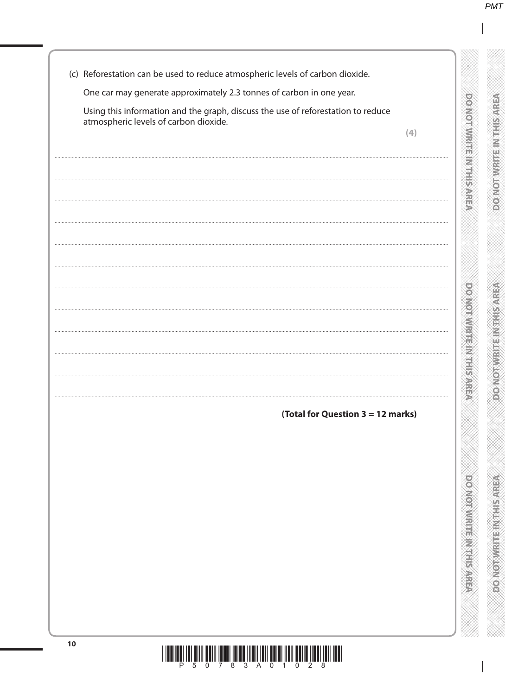(c) Reforestation can be used to reduce atmospheric levels of carbon dioxide. One car may generate approximately 2.3 tonnes of carbon in one year. **DONOTWRITE INTERESARED DONOTWRITEINTHSAREA** Using this information and the graph, discuss the use of reforestation to reduce atmospheric levels of carbon dioxide.  $(4)$ **DOMOTORIES** IN NEW SARE? **GAN ORANGE BEEN STATES** (Total for Question 3 = 12 marks) **DOALORMARY STARFSOLIO** 

**PMT** 

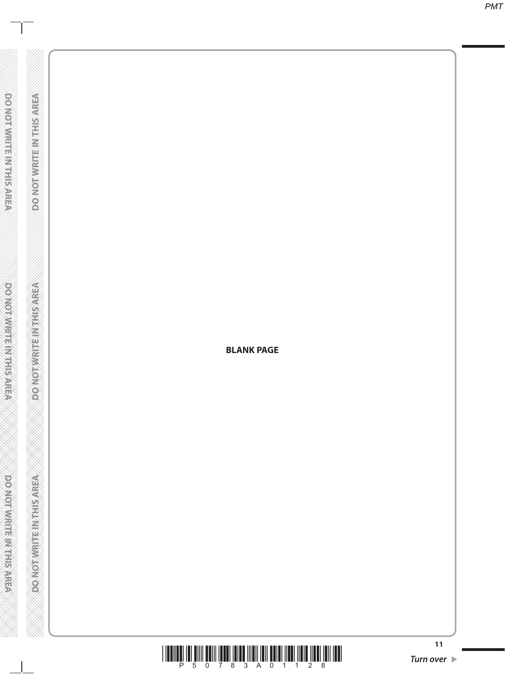|  | P 5 0 7 8 3 A 0 1 1 2 8 |  |  |  |  |  |  |
|--|-------------------------|--|--|--|--|--|--|

DOGWOODWALENWERKHOLDER

**DONOTWRITEINTHIS AREA** 

**DO NOT WRITE IN THIS AREA** 

 $\Box\Box$ 

PMT

**BLANK PAGE**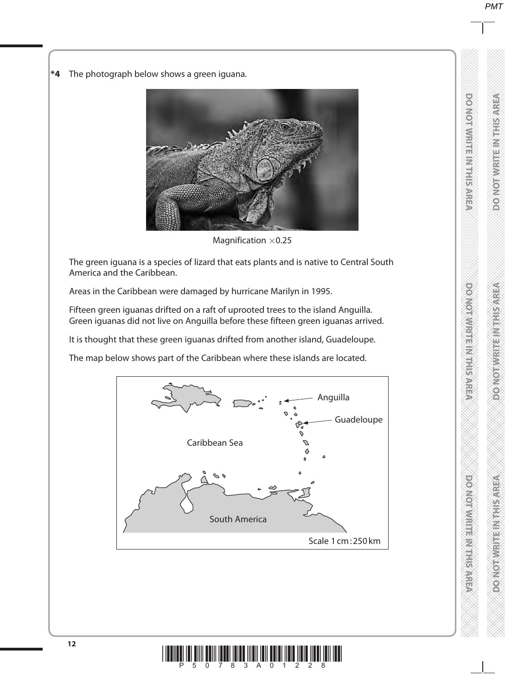**DO NOT WRITE IN THIS AREA** 

**PONOTAVIET ENTERNED** 

**DO NOT WRITE IN THIS AREA**

**DO NOT WRITE IN THIS AREA**

**4\*** The photograph below shows a green iguana.



Magnification  $\times$ 0.25

The green iguana is a species of lizard that eats plants and is native to Central South America and the Caribbean.

Areas in the Caribbean were damaged by hurricane Marilyn in 1995.

Fifteen green iguanas drifted on a raft of uprooted trees to the island Anguilla. Green iguanas did not live on Anguilla before these fifteen green iguanas arrived.

It is thought that these green iguanas drifted from another island, Guadeloupe.

The map below shows part of the Caribbean where these islands are located.



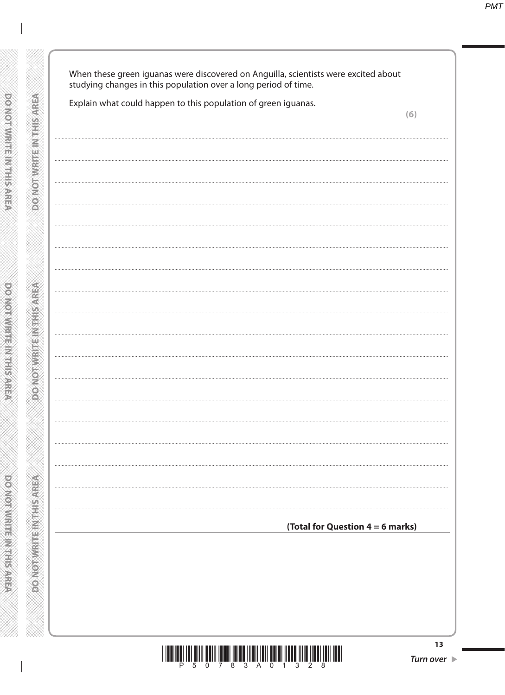|                                 | When these green iguanas were discovered on Anguilla, scientists were excited about<br>studying changes in this population over a long period of time. |     |
|---------------------------------|--------------------------------------------------------------------------------------------------------------------------------------------------------|-----|
|                                 | Explain what could happen to this population of green iguanas.                                                                                         | (6) |
| <b>DONOTAWREENTHISAREA</b>      |                                                                                                                                                        |     |
|                                 |                                                                                                                                                        |     |
|                                 |                                                                                                                                                        |     |
|                                 |                                                                                                                                                        |     |
| <b>ONOTWEITENTISAREA</b>        |                                                                                                                                                        |     |
|                                 |                                                                                                                                                        |     |
|                                 |                                                                                                                                                        |     |
|                                 |                                                                                                                                                        |     |
| <b>ASING ALL MESTING CONCER</b> |                                                                                                                                                        |     |
|                                 | (Total for Question 4 = 6 marks)                                                                                                                       |     |
|                                 |                                                                                                                                                        |     |
|                                 |                                                                                                                                                        |     |

 $\overline{\phantom{a}}$ 

DO NOT WRITE IN THIS AREA

**DONOLMENTER** NEWSFILE

PONOTWERE MANUFACTURER

.<br>H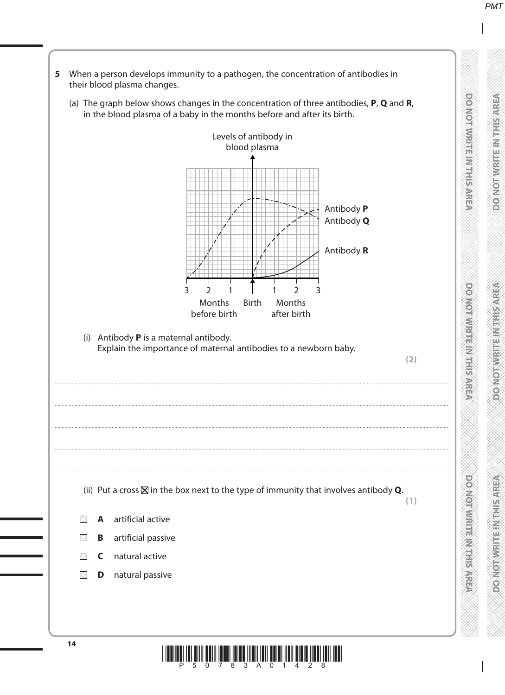

**DO NOT WRITE IN THIS AREA DO NOT WRITE IN THIS AREA DO NOT WRITE IN THIS AREA**

*PMT*

**DONORWERNER NEEDSARE** 

exemplar and the state of the state of the state of the state of the state of the state of the state of the st

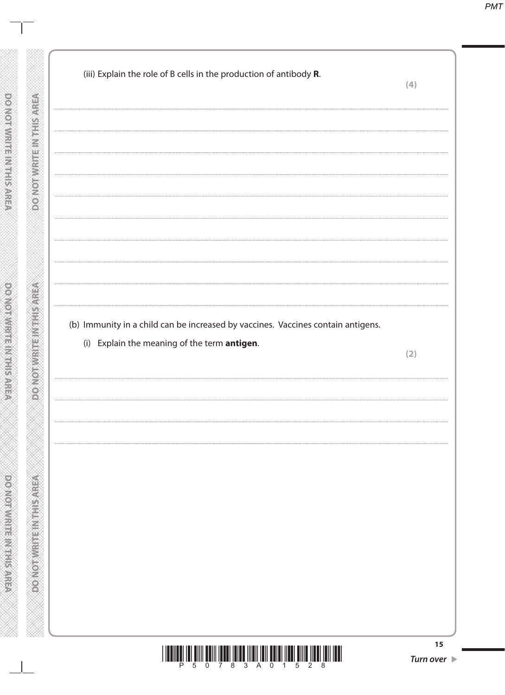| (iii) Explain the role of B cells in the production of antibody R.               | (4) |
|----------------------------------------------------------------------------------|-----|
|                                                                                  |     |
|                                                                                  |     |
|                                                                                  |     |
|                                                                                  |     |
|                                                                                  |     |
|                                                                                  |     |
|                                                                                  |     |
| (b) Immunity in a child can be increased by vaccines. Vaccines contain antigens. |     |
| (i) Explain the meaning of the term antigen.                                     |     |
|                                                                                  |     |
|                                                                                  | (2) |
|                                                                                  |     |
|                                                                                  |     |
|                                                                                  |     |
|                                                                                  |     |
|                                                                                  |     |
|                                                                                  |     |
|                                                                                  |     |
|                                                                                  |     |
|                                                                                  |     |

**DO NOT WRITE IN THIS AREA** 

DOGYMANTENNEN SYSTEM

**DOMOTIVILIST MERINGER** 

⋙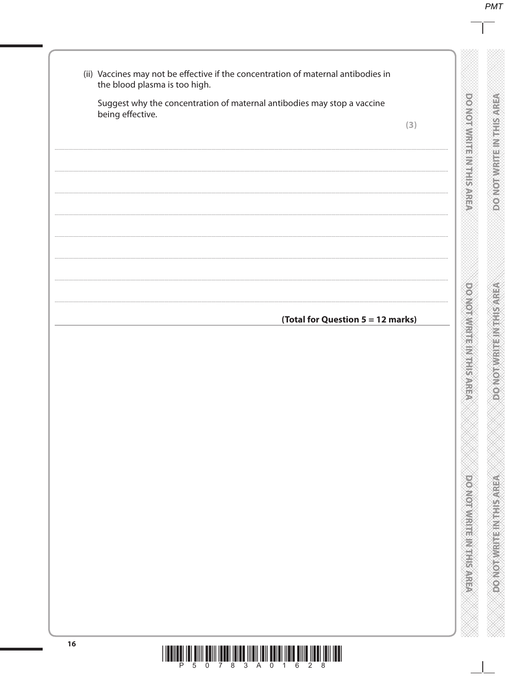| Suggest why the concentration of maternal antibodies may stop a vaccine |                                   |
|-------------------------------------------------------------------------|-----------------------------------|
| being effective.                                                        | (3)                               |
|                                                                         |                                   |
|                                                                         |                                   |
|                                                                         |                                   |
|                                                                         |                                   |
|                                                                         |                                   |
|                                                                         |                                   |
|                                                                         |                                   |
|                                                                         |                                   |
|                                                                         |                                   |
|                                                                         | (Total for Question 5 = 12 marks) |
|                                                                         |                                   |
|                                                                         |                                   |
|                                                                         |                                   |
|                                                                         |                                   |
|                                                                         |                                   |
|                                                                         |                                   |
|                                                                         |                                   |
|                                                                         |                                   |
|                                                                         |                                   |
|                                                                         |                                   |
|                                                                         |                                   |
|                                                                         |                                   |
|                                                                         |                                   |
|                                                                         |                                   |
|                                                                         |                                   |
|                                                                         |                                   |
|                                                                         |                                   |

DO NOT WRITE IN THIS AREA

**DONOTWRITE INTHISAREA** 

DONOT WRITE IN THIS AREA

**XXXXX**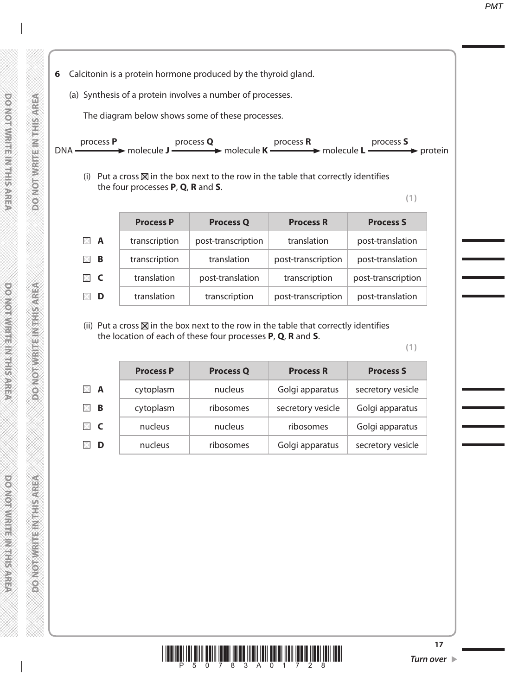- **6** Calcitonin is a protein hormone produced by the thyroid gland. (a) Synthesis of a protein involves a number of processes. The diagram below shows some of these processes. process **P** process **Q** process **R** process **S** DNA molecule **J** molecule **K** molecule **L** protein (i) Put a cross  $\boxtimes$  in the box next to the row in the table that correctly identifies the four processes **P**, **Q**, **R** and **S**. **(1)** Process P Process Q Process R Process S **A** | transcription | post-transcription | translation | post-translation **B**  $\vert$  transcription  $\vert$  translation post-transcription post-translation **C**  $\vert$  translation | post-translation | transcription | post-transcription **D**  $\vert$  translation  $\vert$  transcription post-transcription post-translation
	- (ii) Put a cross  $\boxtimes$  in the box next to the row in the table that correctly identifies the location of each of these four processes **P**, **Q**, **R** and **S**.

| $\times$                      | D | translation                                                 | transcription    | post-transcription                                                                             | post-translation  |
|-------------------------------|---|-------------------------------------------------------------|------------------|------------------------------------------------------------------------------------------------|-------------------|
| <b>DO NOTWRITE INTHIS ARE</b> |   | the location of each of these four processes P, Q, R and S. |                  | (ii) Put a cross $\boxtimes$ in the box next to the row in the table that correctly identifies | (1)               |
|                               |   | <b>Process P</b>                                            | <b>Process Q</b> | <b>Process R</b>                                                                               | <b>Process S</b>  |
| $\boxtimes$ A                 |   | cytoplasm                                                   | nucleus          | Golgi apparatus                                                                                | secretory vesicle |
| $\boxtimes$ B                 |   | cytoplasm                                                   | ribosomes        | secretory vesicle                                                                              | Golgi apparatus   |
| <b>EX</b> C                   |   | nucleus                                                     | nucleus          | ribosomes                                                                                      | Golgi apparatus   |
| $\boxtimes$ D                 |   | nucleus                                                     | ribosomes        | Golgi apparatus                                                                                | secretory vesicle |
|                               |   |                                                             |                  |                                                                                                |                   |
|                               |   |                                                             |                  |                                                                                                |                   |
|                               |   |                                                             |                  |                                                                                                |                   |
| <b>OTWERFEREINSPREA</b>       |   |                                                             |                  |                                                                                                |                   |
|                               |   |                                                             |                  |                                                                                                |                   |
|                               |   |                                                             |                  |                                                                                                |                   |
|                               |   |                                                             |                  |                                                                                                |                   |



**DO NOTIVIALE NITHIS AREA** 

**DO NOT WRITE IN THIS AREA**

**FERMENT ENGINEERING**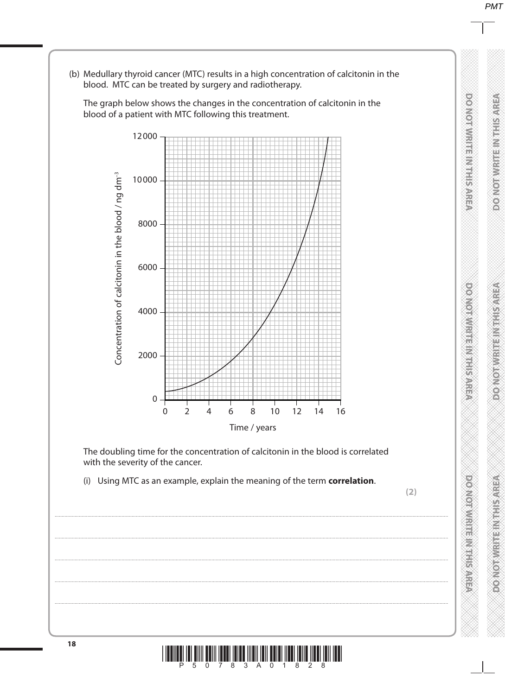**DO NOT WRITE IN THIS AREA** 

**DONOTHUR HIMES AREA** 

**DONOIANT SERVICE STREET** 

**DO NOT WRITE IN THIS AREA**

(b) Medullary thyroid cancer (MTC) results in a high concentration of calcitonin in the blood. MTC can be treated by surgery and radiotherapy.

 The graph below shows the changes in the concentration of calcitonin in the blood of a patient with MTC following this treatment.



 The doubling time for the concentration of calcitonin in the blood is correlated with the severity of the cancer.

(i) Using MTC as an example, explain the meaning of the term **correlation**.

....................................................................................................................................................................................................................................................................................

....................................................................................................................................................................................................................................................................................

....................................................................................................................................................................................................................................................................................

....................................................................................................................................................................................................................................................................................

....................................................................................................................................................................................................................................................................................

**(2)**

**DO NOT WRITE IN THIS AREA DO NOT WRITE IN THIS AREA DO NOT WRITE IN THIS AREA** exemplar and the state of the state of the state of the state of the state of the state of the state of the st DRAFT

**DO NOT WRITE IN THIS AREA**

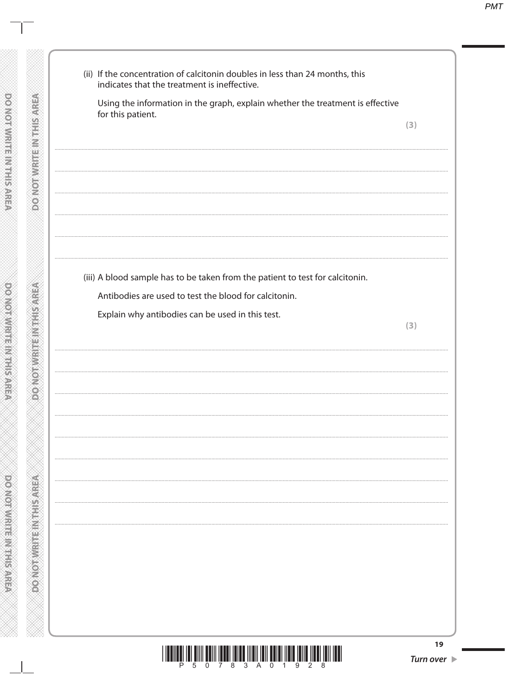| indicates that the treatment is ineffective.                                                        |     |
|-----------------------------------------------------------------------------------------------------|-----|
| Using the information in the graph, explain whether the treatment is effective<br>for this patient. |     |
|                                                                                                     | (3) |
|                                                                                                     |     |
|                                                                                                     |     |
|                                                                                                     |     |
|                                                                                                     |     |
|                                                                                                     |     |
| (iii) A blood sample has to be taken from the patient to test for calcitonin.                       |     |
| Antibodies are used to test the blood for calcitonin.                                               |     |
| Explain why antibodies can be used in this test.                                                    | (3) |
|                                                                                                     |     |
|                                                                                                     |     |
|                                                                                                     |     |
|                                                                                                     |     |
|                                                                                                     |     |
|                                                                                                     |     |
|                                                                                                     |     |
|                                                                                                     |     |
|                                                                                                     |     |
|                                                                                                     |     |
|                                                                                                     |     |
|                                                                                                     |     |
|                                                                                                     |     |
|                                                                                                     |     |
|                                                                                                     |     |

DONOTWRITE IN THIS AREA

**DOMOTHING HISTORICA** 

**PONDERN EINERWEISSER**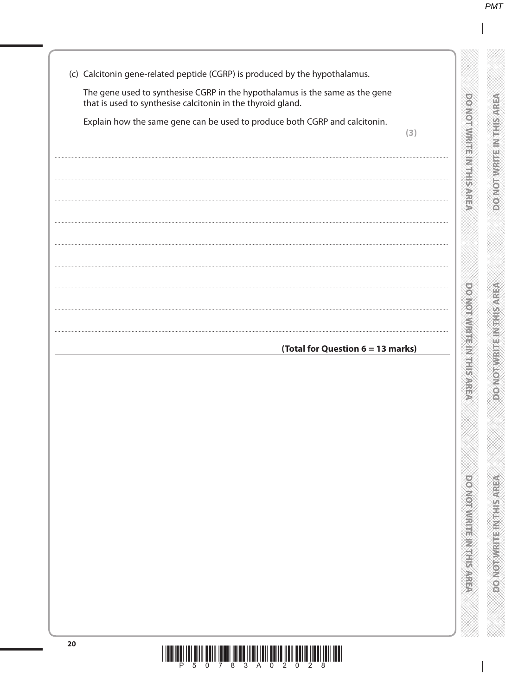| S<br><b>CENT</b><br><b>Mortwritten Health</b><br>C<br>C    | (c) Calcitonin gene-related peptide (CGRP) is produced by the hypothalamus.<br>The gene used to synthesise CGRP in the hypothalamus is the same as the gene<br>that is used to synthesise calcitonin in the thyroid gland.<br>Explain how the same gene can be used to produce both CGRP and calcitonin.<br>(3) |
|------------------------------------------------------------|-----------------------------------------------------------------------------------------------------------------------------------------------------------------------------------------------------------------------------------------------------------------------------------------------------------------|
| <b>HISTORY</b>                                             | (Total for Question 6 = 13 marks)                                                                                                                                                                                                                                                                               |
| <b>MENOSIAN SERIES AREANS</b><br><b>REPARTMENT PARTIES</b> |                                                                                                                                                                                                                                                                                                                 |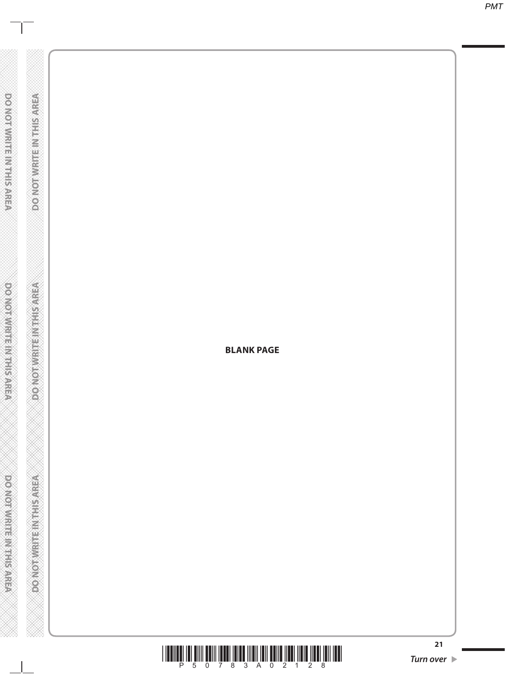|  |  |  |  | P 5 0 7 8 3 A 0 2 1 2 8 |  |  |
|--|--|--|--|-------------------------|--|--|

**DOWOTWRITE(WITHIS/AREA** 

**DONOTWRITEINTHIS AREA** 

 $\overline{\phantom{a}}$ 

**DO NOT WRITE IN THIS AREA** 

**BLANK PAGE**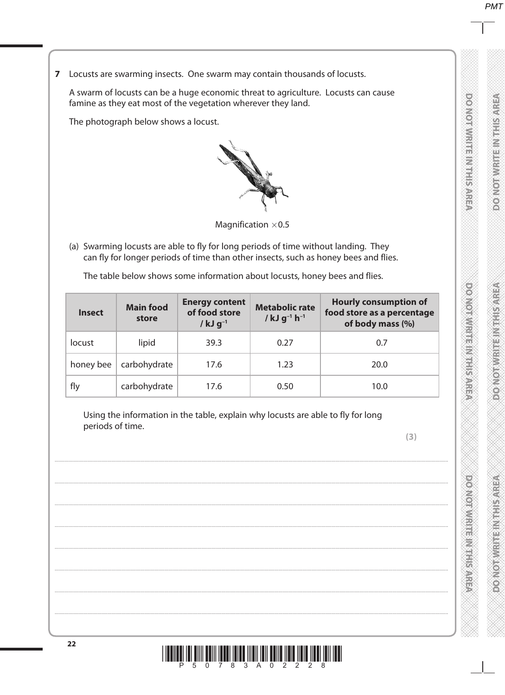**DONOIANT SERVICE STREET** 

**POATOTANIE TENNEE OATO** 

**RESPONDED AS A PROPERTY** 

er<br>Geografia<br>Co

e.<br>D

7 Locusts are swarming insects. One swarm may contain thousands of locusts.

A swarm of locusts can be a huge economic threat to agriculture. Locusts can cause famine as they eat most of the vegetation wherever they land.

The photograph below shows a locust.



Magnification  $\times$  0.5

(a) Swarming locusts are able to fly for long periods of time without landing. They can fly for longer periods of time than other insects, such as honey bees and flies.

The table below shows some information about locusts, honey bees and flies.

| <b>Insect</b> | <b>Main food</b><br>store | <b>Energy content</b><br>of food store<br>/ $kJ$ g <sup>-1</sup> | <b>Metabolic rate</b><br>/ $kJ$ g <sup>-1</sup> h <sup>-1</sup> | <b>Hourly consumption of</b><br>food store as a percentage<br>of body mass (%) |
|---------------|---------------------------|------------------------------------------------------------------|-----------------------------------------------------------------|--------------------------------------------------------------------------------|
| locust        | lipid                     | 39.3                                                             | 0.27                                                            | 0.7                                                                            |
| honey bee     | carbohydrate              | 17.6                                                             | 1.23                                                            | 20.0                                                                           |
| fly           | carbohydrate              | 17.6                                                             | 0.50                                                            | 10.0                                                                           |

Using the information in the table, explain why locusts are able to fly for long periods of time.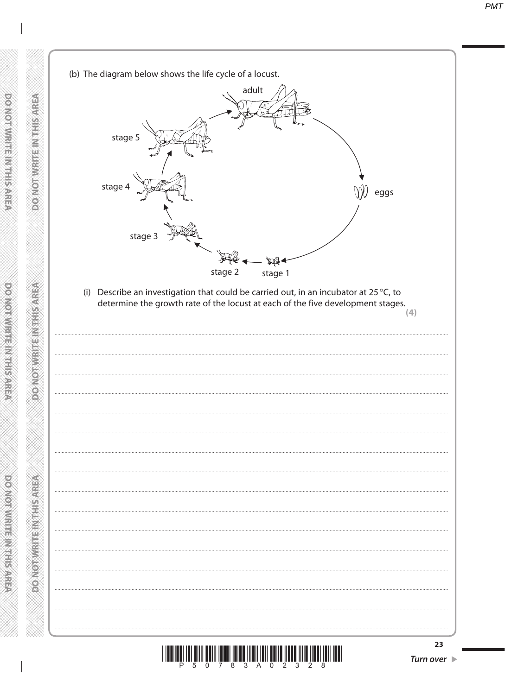| (b) The diagram below shows the life cycle of a locust.<br>adult                                                                                                                  |
|-----------------------------------------------------------------------------------------------------------------------------------------------------------------------------------|
|                                                                                                                                                                                   |
|                                                                                                                                                                                   |
| stage 5                                                                                                                                                                           |
|                                                                                                                                                                                   |
| stage 4                                                                                                                                                                           |
| eggs                                                                                                                                                                              |
|                                                                                                                                                                                   |
| stage 3                                                                                                                                                                           |
| W-44                                                                                                                                                                              |
| stage 2<br>stage 1                                                                                                                                                                |
| (i) Describe an investigation that could be carried out, in an incubator at 25 $\degree$ C, to<br>determine the growth rate of the locust at each of the five development stages. |
| (4)                                                                                                                                                                               |
|                                                                                                                                                                                   |
|                                                                                                                                                                                   |
|                                                                                                                                                                                   |
|                                                                                                                                                                                   |
|                                                                                                                                                                                   |
|                                                                                                                                                                                   |
|                                                                                                                                                                                   |
|                                                                                                                                                                                   |
|                                                                                                                                                                                   |
|                                                                                                                                                                                   |
|                                                                                                                                                                                   |
|                                                                                                                                                                                   |
|                                                                                                                                                                                   |
|                                                                                                                                                                                   |
|                                                                                                                                                                                   |
| 23                                                                                                                                                                                |
| <u> I III III III III III III III II III III II III II III II II II II II II II II II II II III II III II III II</u><br><b>Turn over</b><br>3<br>8<br>$^{2}$<br>3.<br>0<br>8      |

 $\overline{\phantom{a}}$ 

DO NOTWRITE IN THIS AREA

**DOMOUNTERNATION** 

**WERK STATISTIC EMPLOYMENT CONDER** 

DO NOT WRITE IN THIS AREA

e de la construcción de la construcción de la construcción de la construcción de la construcción de la construcción de la construcción de la construcción de la construcción de la construcción de la construcción de la const

**PONOTIVIRIUM ENTRENER** 

e di provincia di provincia di concerta di concerta di concerta di concerta di concerta di concerta di concerta<br>La concerta di concerta di concerta di concerta di concerta di concerta di concerta di concerta di concerta di

╳

DO NOT WRITE IN THIS AREA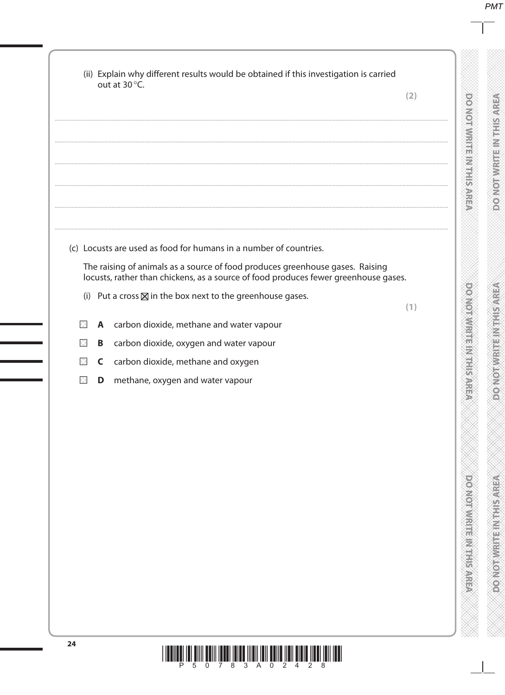|     |                  | (ii) Explain why different results would be obtained if this investigation is carried<br>out at 30 °C.                                                                                                                                                                                                                                                                                                                                                                         | (2) | Z<br>Q<br><b>CONTE</b><br>ž<br>$\frac{1}{2}$<br>分类型 | <u>၉</u><br>၁              |
|-----|------------------|--------------------------------------------------------------------------------------------------------------------------------------------------------------------------------------------------------------------------------------------------------------------------------------------------------------------------------------------------------------------------------------------------------------------------------------------------------------------------------|-----|-----------------------------------------------------|----------------------------|
| (i) | A<br>B<br>C<br>D | (c) Locusts are used as food for humans in a number of countries.<br>The raising of animals as a source of food produces greenhouse gases. Raising<br>locusts, rather than chickens, as a source of food produces fewer greenhouse gases.<br>Put a cross $\boxtimes$ in the box next to the greenhouse gases.<br>carbon dioxide, methane and water vapour<br>carbon dioxide, oxygen and water vapour<br>carbon dioxide, methane and oxygen<br>methane, oxygen and water vapour | (1) | 豪                                                   | ₽                          |
|     |                  |                                                                                                                                                                                                                                                                                                                                                                                                                                                                                |     | <b>SPONDOM NEWSLETCH SAFETY</b>                     | <b>RENE RENE EN RENDER</b> |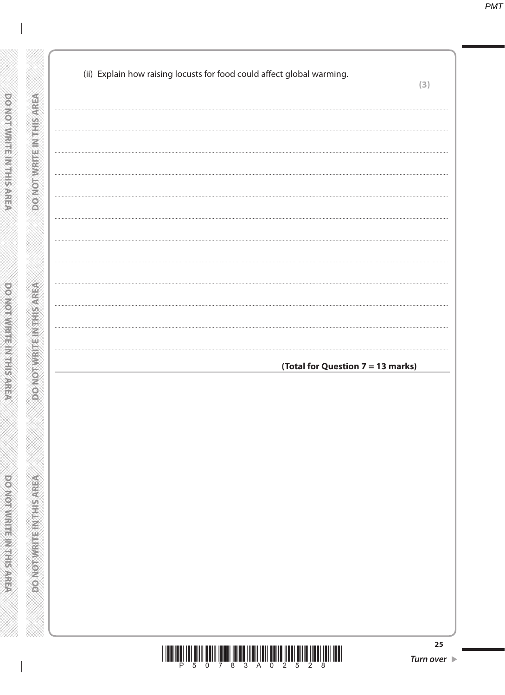|                  | (ii) Explain how raising locusts for food could affect global warming.                                                                                 | (3)                             |
|------------------|--------------------------------------------------------------------------------------------------------------------------------------------------------|---------------------------------|
| <b>HISWARDA</b>  |                                                                                                                                                        |                                 |
| <b>DONOTHISM</b> |                                                                                                                                                        |                                 |
|                  | <br>                                                                                                                                                   |                                 |
|                  |                                                                                                                                                        |                                 |
|                  |                                                                                                                                                        |                                 |
| õ                | (Total for Question 7 = 13 marks)                                                                                                                      |                                 |
|                  |                                                                                                                                                        |                                 |
|                  |                                                                                                                                                        |                                 |
|                  |                                                                                                                                                        |                                 |
|                  |                                                                                                                                                        |                                 |
|                  |                                                                                                                                                        |                                 |
|                  |                                                                                                                                                        | 25                              |
|                  | ║<br>Ш<br>WW<br>∭<br>P.<br>5<br>$\mathbf 0$<br>$\boldsymbol{8}$<br>$\overline{0}$<br>$\overline{2}$<br>2 <sup>8</sup><br>7<br>3 <sup>7</sup><br>A<br>5 | Turn over $\blacktriangleright$ |

 $\overline{\phantom{a}}$ 

DOMOTWRITE INTHIS AREA

poolvorwerterwichten der ein

**DOMOTIVE IN ENGINEEMEN**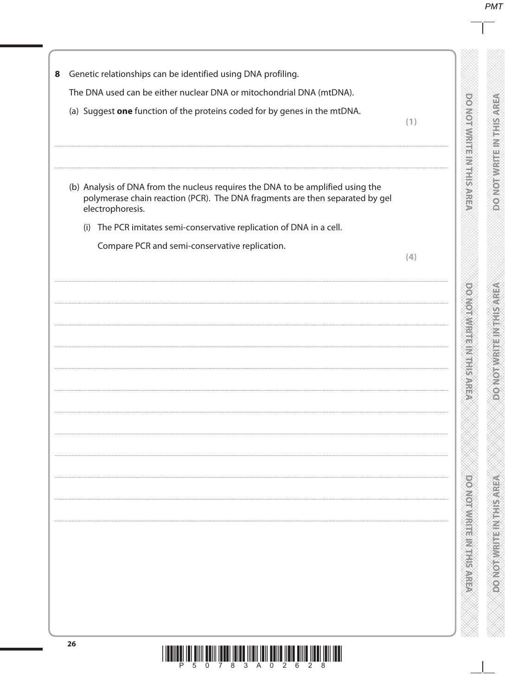| The DNA used can be either nuclear DNA or mitochondrial DNA (mtDNA).                                                                                                                                                                                                                                             |     | S                          |
|------------------------------------------------------------------------------------------------------------------------------------------------------------------------------------------------------------------------------------------------------------------------------------------------------------------|-----|----------------------------|
| (a) Suggest one function of the proteins coded for by genes in the mtDNA.                                                                                                                                                                                                                                        | (1) |                            |
| (b) Analysis of DNA from the nucleus requires the DNA to be amplified using the<br>polymerase chain reaction (PCR). The DNA fragments are then separated by gel<br>electrophoresis.<br>The PCR imitates semi-conservative replication of DNA in a cell.<br>(i)<br>Compare PCR and semi-conservative replication. | (4) | <b>Norwriteinaries ARE</b> |
|                                                                                                                                                                                                                                                                                                                  |     |                            |
|                                                                                                                                                                                                                                                                                                                  |     | <b>PRESERVATIONS</b>       |
|                                                                                                                                                                                                                                                                                                                  |     |                            |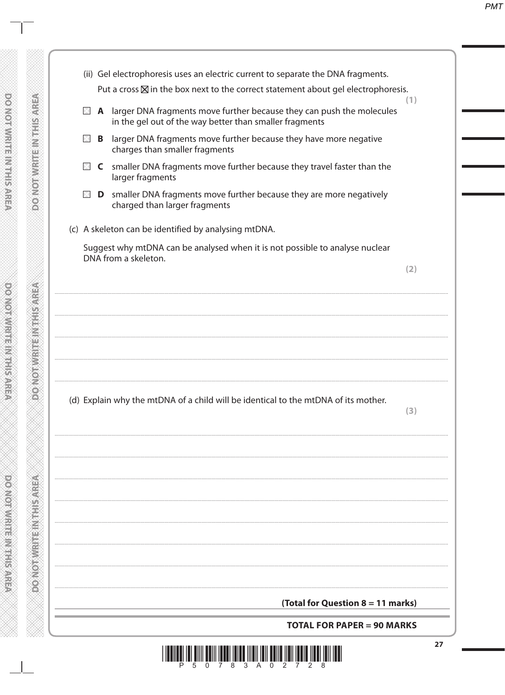|          |                                                                                  | (Total for Question 8 = 11 marks)<br><b>TOTAL FOR PAPER = 90 MARKS</b>                                                                                                              |     |
|----------|----------------------------------------------------------------------------------|-------------------------------------------------------------------------------------------------------------------------------------------------------------------------------------|-----|
|          |                                                                                  |                                                                                                                                                                                     |     |
|          |                                                                                  |                                                                                                                                                                                     |     |
|          |                                                                                  | (d) Explain why the mtDNA of a child will be identical to the mtDNA of its mother.                                                                                                  | (3) |
|          |                                                                                  |                                                                                                                                                                                     |     |
|          |                                                                                  |                                                                                                                                                                                     | (2) |
|          |                                                                                  | Suggest why mtDNA can be analysed when it is not possible to analyse nuclear<br>DNA from a skeleton.                                                                                |     |
|          |                                                                                  | charged than larger fragments<br>(c) A skeleton can be identified by analysing mtDNA.                                                                                               |     |
|          |                                                                                  | <b>C</b> smaller DNA fragments move further because they travel faster than the<br>larger fragments<br><b>D</b> smaller DNA fragments move further because they are more negatively |     |
|          | B                                                                                | larger DNA fragments move further because they have more negative<br>charges than smaller fragments                                                                                 |     |
| $\times$ |                                                                                  | A larger DNA fragments move further because they can push the molecules<br>in the gel out of the way better than smaller fragments                                                  |     |
|          | (ii) Gel electrophoresis uses an electric current to separate the DNA fragments. | Put a cross $\boxtimes$ in the box next to the correct statement about gel electrophoresis.                                                                                         | (1) |

 $\overline{\phantom{a}}$ 

DO NOTWRITE IN THIS AREA

powormatic music was a

**DOMOTOMERIC HUSSENS** 

e de la construcción de la construcción de la construcción de la construcción de la construcción de la construcción de la construcción de la construcción de la construcción de la construcción de la construcción de la const